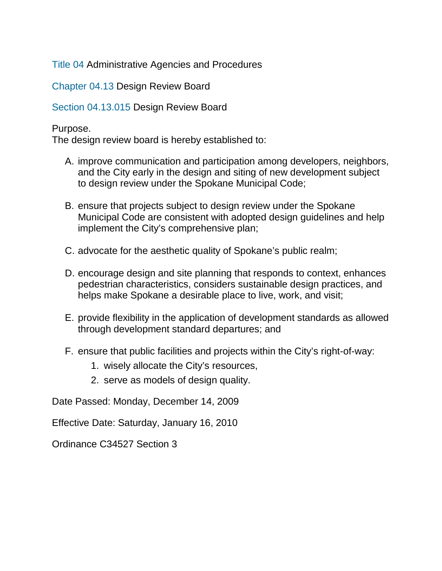[Title 04](https://my.spokanecity.org/smc/?Title=04) Administrative Agencies and Procedures

[Chapter 04.13](https://my.spokanecity.org/smc/?Chapter=04.13) Design Review Board

[Section 04.13.015](https://my.spokanecity.org/smc/?Section=04.13.015) Design Review Board

### Purpose.

The design review board is hereby established to:

- A. improve communication and participation among developers, neighbors, and the City early in the design and siting of new development subject to design review under the Spokane Municipal Code;
- B. ensure that projects subject to design review under the Spokane Municipal Code are consistent with adopted design guidelines and help implement the City's comprehensive plan;
- C. advocate for the aesthetic quality of Spokane's public realm;
- D. encourage design and site planning that responds to context, enhances pedestrian characteristics, considers sustainable design practices, and helps make Spokane a desirable place to live, work, and visit;
- E. provide flexibility in the application of development standards as allowed through development standard departures; and
- F. ensure that public facilities and projects within the City's right-of-way:
	- 1. wisely allocate the City's resources,
	- 2. serve as models of design quality.

Date Passed: Monday, December 14, 2009

Effective Date: Saturday, January 16, 2010

Ordinance C34527 Section 3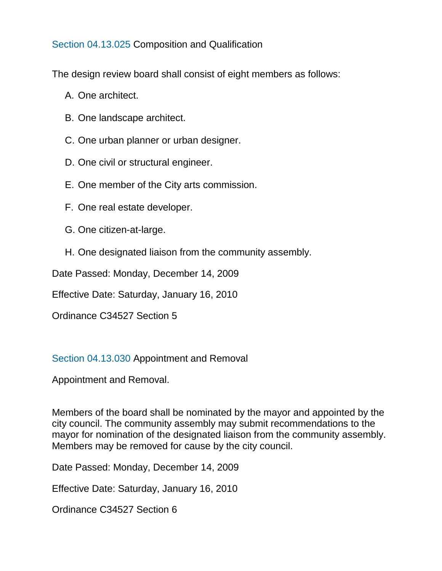[Section 04.13.025](https://my.spokanecity.org/smc/?Section=04.13.025) Composition and Qualification

The design review board shall consist of eight members as follows:

- A. One architect.
- B. One landscape architect.
- C. One urban planner or urban designer.
- D. One civil or structural engineer.
- E. One member of the City arts commission.
- F. One real estate developer.
- G. One citizen-at-large.
- H. One designated liaison from the community assembly.

Date Passed: Monday, December 14, 2009

Effective Date: Saturday, January 16, 2010

Ordinance C34527 Section 5

### [Section 04.13.030](https://my.spokanecity.org/smc/?Section=04.13.030) Appointment and Removal

Appointment and Removal.

Members of the board shall be nominated by the mayor and appointed by the city council. The community assembly may submit recommendations to the mayor for nomination of the designated liaison from the community assembly. Members may be removed for cause by the city council.

Date Passed: Monday, December 14, 2009

Effective Date: Saturday, January 16, 2010

Ordinance C34527 Section 6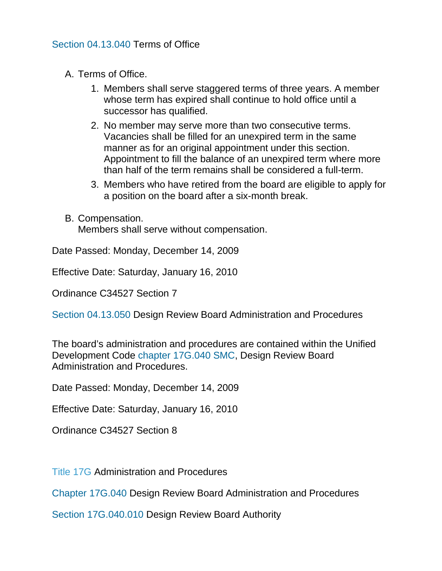- A. Terms of Office.
	- 1. Members shall serve staggered terms of three years. A member whose term has expired shall continue to hold office until a successor has qualified.
	- 2. No member may serve more than two consecutive terms. Vacancies shall be filled for an unexpired term in the same manner as for an original appointment under this section. Appointment to fill the balance of an unexpired term where more than half of the term remains shall be considered a full-term.
	- 3. Members who have retired from the board are eligible to apply for a position on the board after a six-month break.
- B. Compensation. Members shall serve without compensation.

Date Passed: Monday, December 14, 2009

Effective Date: Saturday, January 16, 2010

Ordinance C34527 Section 7

[Section 04.13.050](https://my.spokanecity.org/smc/?Section=04.13.050) Design Review Board Administration and Procedures

The board's administration and procedures are contained within the Unified Development Code [chapter 17G.040 SMC,](https://my.spokanecity.org/smc/?Chapter=17G.040) Design Review Board Administration and Procedures.

Date Passed: Monday, December 14, 2009

Effective Date: Saturday, January 16, 2010

Ordinance C34527 Section 8

[Title 17G](https://my.spokanecity.org/smc/?Title=17G) Administration and Procedures

[Chapter 17G.040](https://my.spokanecity.org/smc/?Chapter=17G.040) Design Review Board Administration and Procedures

[Section 17G.040.010](https://my.spokanecity.org/smc/?Section=17G.040.010) Design Review Board Authority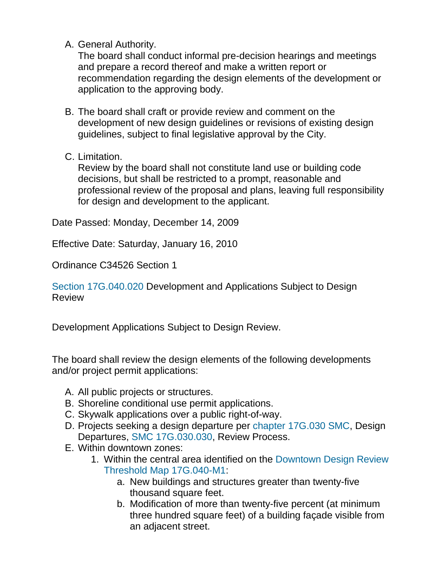A. General Authority.

The board shall conduct informal pre-decision hearings and meetings and prepare a record thereof and make a written report or recommendation regarding the design elements of the development or application to the approving body.

- B. The board shall craft or provide review and comment on the development of new design guidelines or revisions of existing design guidelines, subject to final legislative approval by the City.
- C. Limitation.

Review by the board shall not constitute land use or building code decisions, but shall be restricted to a prompt, reasonable and professional review of the proposal and plans, leaving full responsibility for design and development to the applicant.

Date Passed: Monday, December 14, 2009

Effective Date: Saturday, January 16, 2010

Ordinance C34526 Section 1

[Section 17G.040.020](https://my.spokanecity.org/smc/?Section=17G.040.020) Development and Applications Subject to Design **Review** 

Development Applications Subject to Design Review.

The board shall review the design elements of the following developments and/or project permit applications:

- A. All public projects or structures.
- B. Shoreline conditional use permit applications.
- C. Skywalk applications over a public right-of-way.
- D. Projects seeking a design departure per [chapter 17G.030 SMC,](https://my.spokanecity.org/smc/?Chapter=17G.030) Design Departures, [SMC 17G.030.030,](https://my.spokanecity.org/smc/?Section=17G.030.030) Review Process.
- E. Within downtown zones:
	- 1. Within the central area identified on the [Downtown Design Review](https://my.spokanecity.org/smc/c34526_17G-040-020_Downtown-Design-Review-Threshold-M1-Map.pdf)  [Threshold Map 17G.040-M1:](https://my.spokanecity.org/smc/c34526_17G-040-020_Downtown-Design-Review-Threshold-M1-Map.pdf)
		- a. New buildings and structures greater than twenty-five thousand square feet.
		- b. Modification of more than twenty-five percent (at minimum three hundred square feet) of a building façade visible from an adjacent street.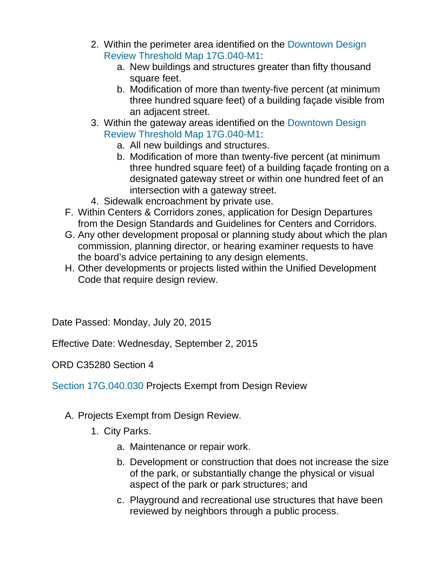- 2. Within the perimeter area identified on the [Downtown Design](https://my.spokanecity.org/smc/c34526_17G-040-020_Downtown-Design-Review-Threshold-M1-Map.pdf)  [Review Threshold Map 17G.040-M1:](https://my.spokanecity.org/smc/c34526_17G-040-020_Downtown-Design-Review-Threshold-M1-Map.pdf)
	- a. New buildings and structures greater than fifty thousand square feet.
	- b. Modification of more than twenty-five percent (at minimum three hundred square feet) of a building façade visible from an adjacent street.
- 3. Within the gateway areas identified on the [Downtown Design](https://my.spokanecity.org/smc/c34526_17G-040-020_Downtown-Design-Review-Threshold-M1-Map.pdf)  [Review Threshold Map 17G.040-M1:](https://my.spokanecity.org/smc/c34526_17G-040-020_Downtown-Design-Review-Threshold-M1-Map.pdf)
	- a. All new buildings and structures.
	- b. Modification of more than twenty-five percent (at minimum three hundred square feet) of a building façade fronting on a designated gateway street or within one hundred feet of an intersection with a gateway street.
- 4. Sidewalk encroachment by private use.
- F. Within Centers & Corridors zones, application for Design Departures from the Design Standards and Guidelines for Centers and Corridors.
- G. Any other development proposal or planning study about which the plan commission, planning director, or hearing examiner requests to have the board's advice pertaining to any design elements.
- H. Other developments or projects listed within the Unified Development Code that require design review.

Date Passed: Monday, July 20, 2015

Effective Date: Wednesday, September 2, 2015

ORD C35280 Section 4

[Section 17G.040.030](https://my.spokanecity.org/smc/?Section=17G.040.030) Projects Exempt from Design Review

- A. Projects Exempt from Design Review.
	- 1. City Parks.
		- a. Maintenance or repair work.
		- b. Development or construction that does not increase the size of the park, or substantially change the physical or visual aspect of the park or park structures; and
		- c. Playground and recreational use structures that have been reviewed by neighbors through a public process.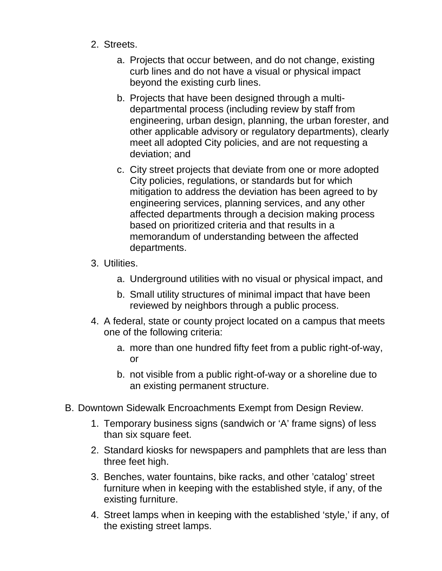- 2. Streets.
	- a. Projects that occur between, and do not change, existing curb lines and do not have a visual or physical impact beyond the existing curb lines.
	- b. Projects that have been designed through a multidepartmental process (including review by staff from engineering, urban design, planning, the urban forester, and other applicable advisory or regulatory departments), clearly meet all adopted City policies, and are not requesting a deviation; and
	- c. City street projects that deviate from one or more adopted City policies, regulations, or standards but for which mitigation to address the deviation has been agreed to by engineering services, planning services, and any other affected departments through a decision making process based on prioritized criteria and that results in a memorandum of understanding between the affected departments.
- 3. Utilities.
	- a. Underground utilities with no visual or physical impact, and
	- b. Small utility structures of minimal impact that have been reviewed by neighbors through a public process.
- 4. A federal, state or county project located on a campus that meets one of the following criteria:
	- a. more than one hundred fifty feet from a public right-of-way, or
	- b. not visible from a public right-of-way or a shoreline due to an existing permanent structure.
- B. Downtown Sidewalk Encroachments Exempt from Design Review.
	- 1. Temporary business signs (sandwich or 'A' frame signs) of less than six square feet.
	- 2. Standard kiosks for newspapers and pamphlets that are less than three feet high.
	- 3. Benches, water fountains, bike racks, and other 'catalog' street furniture when in keeping with the established style, if any, of the existing furniture.
	- 4. Street lamps when in keeping with the established 'style,' if any, of the existing street lamps.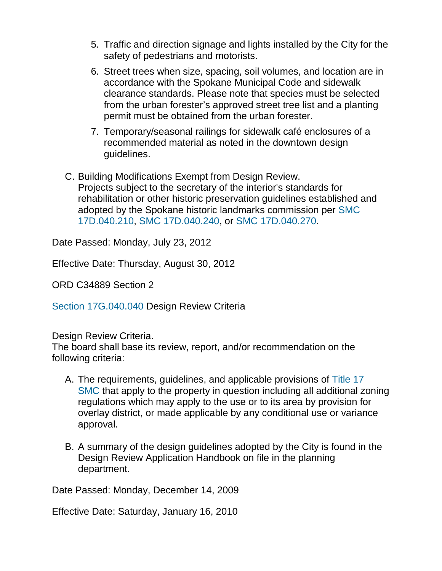- 5. Traffic and direction signage and lights installed by the City for the safety of pedestrians and motorists.
- 6. Street trees when size, spacing, soil volumes, and location are in accordance with the Spokane Municipal Code and sidewalk clearance standards. Please note that species must be selected from the urban forester's approved street tree list and a planting permit must be obtained from the urban forester.
- 7. Temporary/seasonal railings for sidewalk café enclosures of a recommended material as noted in the downtown design guidelines.
- C. Building Modifications Exempt from Design Review. Projects subject to the secretary of the interior's standards for rehabilitation or other historic preservation guidelines established and adopted by the Spokane historic landmarks commission per [SMC](https://my.spokanecity.org/smc/?Section=17D.040.210)  [17D.040.210,](https://my.spokanecity.org/smc/?Section=17D.040.210) [SMC 17D.040.240,](https://my.spokanecity.org/smc/?Section=17D.040.240) or [SMC 17D.040.270.](https://my.spokanecity.org/smc/?Section=17D.040.270)

Date Passed: Monday, July 23, 2012

Effective Date: Thursday, August 30, 2012

ORD C34889 Section 2

[Section 17G.040.040](https://my.spokanecity.org/smc/?Section=17G.040.040) Design Review Criteria

Design Review Criteria.

The board shall base its review, report, and/or recommendation on the following criteria:

- A. The requirements, guidelines, and applicable provisions of [Title 17](https://my.spokanecity.org/smc/)  [SMC](https://my.spokanecity.org/smc/) that apply to the property in question including all additional zoning regulations which may apply to the use or to its area by provision for overlay district, or made applicable by any conditional use or variance approval.
- B. A summary of the design guidelines adopted by the City is found in the Design Review Application Handbook on file in the planning department.

Date Passed: Monday, December 14, 2009

Effective Date: Saturday, January 16, 2010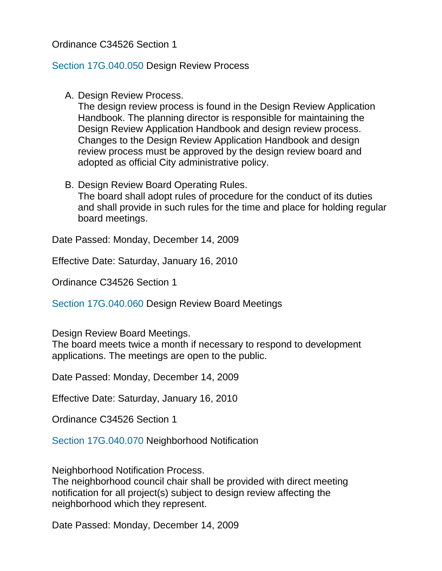# Ordinance C34526 Section 1

#### [Section 17G.040.050](https://my.spokanecity.org/smc/?Section=17G.040.050) Design Review Process

A. Design Review Process.

The design review process is found in the Design Review Application Handbook. The planning director is responsible for maintaining the Design Review Application Handbook and design review process. Changes to the Design Review Application Handbook and design review process must be approved by the design review board and adopted as official City administrative policy.

B. Design Review Board Operating Rules.

The board shall adopt rules of procedure for the conduct of its duties and shall provide in such rules for the time and place for holding regular board meetings.

Date Passed: Monday, December 14, 2009

Effective Date: Saturday, January 16, 2010

Ordinance C34526 Section 1

[Section 17G.040.060](https://my.spokanecity.org/smc/?Section=17G.040.060) Design Review Board Meetings

Design Review Board Meetings.

The board meets twice a month if necessary to respond to development applications. The meetings are open to the public.

Date Passed: Monday, December 14, 2009

Effective Date: Saturday, January 16, 2010

Ordinance C34526 Section 1

[Section 17G.040.070](https://my.spokanecity.org/smc/?Section=17G.040.070) Neighborhood Notification

Neighborhood Notification Process.

The neighborhood council chair shall be provided with direct meeting notification for all project(s) subject to design review affecting the neighborhood which they represent.

Date Passed: Monday, December 14, 2009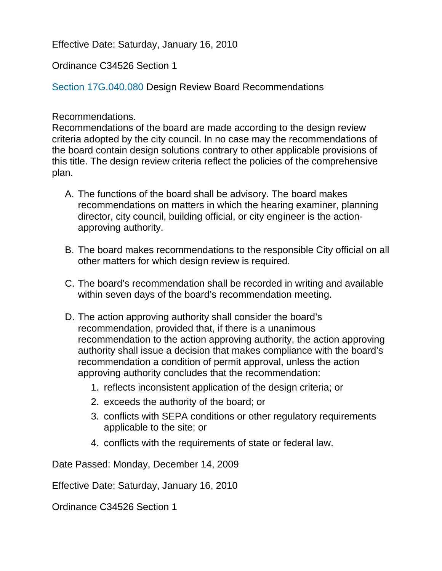Effective Date: Saturday, January 16, 2010

Ordinance C34526 Section 1

[Section 17G.040.080](https://my.spokanecity.org/smc/?Section=17G.040.080) Design Review Board Recommendations

## Recommendations.

Recommendations of the board are made according to the design review criteria adopted by the city council. In no case may the recommendations of the board contain design solutions contrary to other applicable provisions of this title. The design review criteria reflect the policies of the comprehensive plan.

- A. The functions of the board shall be advisory. The board makes recommendations on matters in which the hearing examiner, planning director, city council, building official, or city engineer is the actionapproving authority.
- B. The board makes recommendations to the responsible City official on all other matters for which design review is required.
- C. The board's recommendation shall be recorded in writing and available within seven days of the board's recommendation meeting.
- D. The action approving authority shall consider the board's recommendation, provided that, if there is a unanimous recommendation to the action approving authority, the action approving authority shall issue a decision that makes compliance with the board's recommendation a condition of permit approval, unless the action approving authority concludes that the recommendation:
	- 1. reflects inconsistent application of the design criteria; or
	- 2. exceeds the authority of the board; or
	- 3. conflicts with SEPA conditions or other regulatory requirements applicable to the site; or
	- 4. conflicts with the requirements of state or federal law.

Date Passed: Monday, December 14, 2009

Effective Date: Saturday, January 16, 2010

Ordinance C34526 Section 1